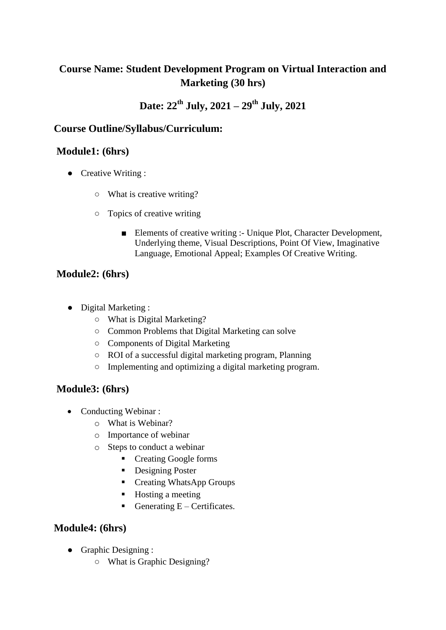# **Course Name: Student Development Program on Virtual Interaction and Marketing (30 hrs)**

# **Date: 22 th July, 2021 – 29th July, 2021**

### **Course Outline/Syllabus/Curriculum:**

### **Module1: (6hrs)**

- Creative Writing :
	- What is creative writing?
	- Topics of creative writing
		- Elements of creative writing :- Unique Plot, Character Development, Underlying theme, Visual Descriptions, Point Of View, Imaginative Language, Emotional Appeal; Examples Of Creative Writing.

### **Module2: (6hrs)**

- Digital Marketing :
	- What is Digital Marketing?
	- Common Problems that Digital Marketing can solve
	- Components of Digital Marketing
	- ROI of a successful digital marketing program, Planning
	- Implementing and optimizing a digital marketing program.

# **Module3: (6hrs)**

- Conducting Webinar :
	- o What is Webinar?
	- o Importance of webinar
	- o Steps to conduct a webinar
		- Creating Google forms
		- **Designing Poster**
		- Creating WhatsApp Groups
		- Hosting a meeting
		- Generating  $E -$  Certificates.

# **Module4: (6hrs)**

- Graphic Designing :
	- What is Graphic Designing?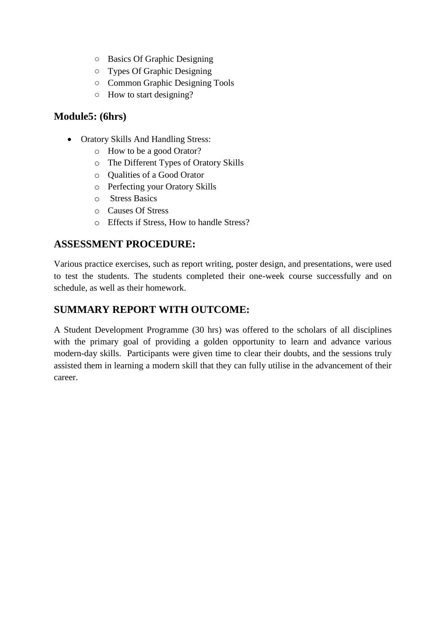- Basics Of Graphic Designing
- Types Of Graphic Designing
- Common Graphic Designing Tools
- How to start designing?

### **Module5: (6hrs)**

- Oratory Skills And Handling Stress:
	- o How to be a good Orator?
	- o The Different Types of Oratory Skills
	- o Qualities of a Good Orator
	- o Perfecting your Oratory Skills
	- o Stress Basics
	- o Causes Of Stress
	- o Effects if Stress, How to handle Stress?

#### **ASSESSMENT PROCEDURE:**

Various practice exercises, such as report writing, poster design, and presentations, were used to test the students. The students completed their one-week course successfully and on schedule, as well as their homework.

### **SUMMARY REPORT WITH OUTCOME:**

A Student Development Programme (30 hrs) was offered to the scholars of all disciplines with the primary goal of providing a golden opportunity to learn and advance various modern-day skills. Participants were given time to clear their doubts, and the sessions truly assisted them in learning a modern skill that they can fully utilise in the advancement of their career.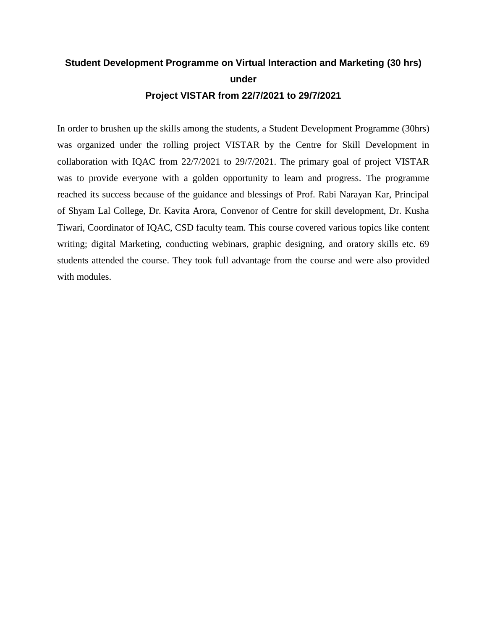# **Student Development Programme on Virtual Interaction and Marketing (30 hrs) under Project VISTAR from 22/7/2021 to 29/7/2021**

In order to brushen up the skills among the students, a Student Development Programme (30hrs) was organized under the rolling project VISTAR by the Centre for Skill Development in collaboration with IQAC from 22/7/2021 to 29/7/2021. The primary goal of project VISTAR was to provide everyone with a golden opportunity to learn and progress. The programme reached its success because of the guidance and blessings of Prof. Rabi Narayan Kar, Principal of Shyam Lal College, Dr. Kavita Arora, Convenor of Centre for skill development, Dr. Kusha Tiwari, Coordinator of IQAC, CSD faculty team. This course covered various topics like content writing; digital Marketing, conducting webinars, graphic designing, and oratory skills etc. 69 students attended the course. They took full advantage from the course and were also provided with modules.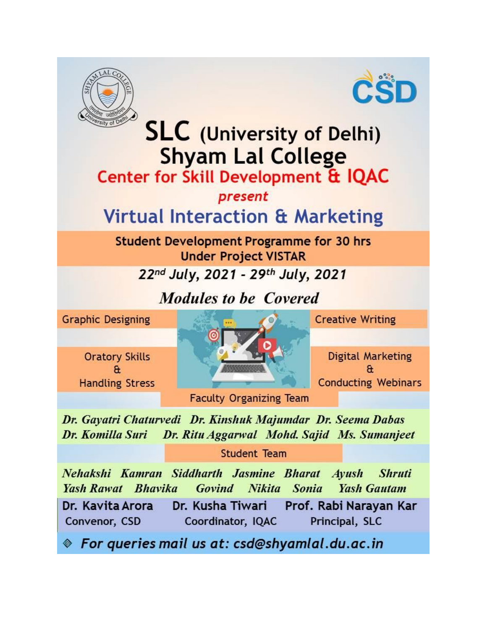



# **SLC** (University of Delhi) **Shyam Lal College**

# Center for Skill Development & IQAC

# present

# **Virtual Interaction & Marketing**

# **Student Development Programme for 30 hrs Under Project VISTAR**

# 22nd July, 2021 - 29th July, 2021

# Modules to be Covered

**Graphic Designing** 

**Oratory Skills**  $\mathbf{a}$ **Handling Stress** 



**Creative Writing** 

**Digital Marketing** æ **Conducting Webinars** 

**Faculty Organizing Team** 

Dr. Gayatri Chaturvedi Dr. Kinshuk Majumdar Dr. Seema Dabas Dr. Ritu Aggarwal Mohd. Sajid Ms. Sumanjeet Dr. Komilla Suri

**Student Team** 

Nehakshi Kamran Siddharth Jasmine Bharat Ayush **Shruti Yash Rawat** Bhavika Govind **Nikita Sonia Yash Gautam** Dr. Kusha Tiwari Dr. Kavita Arora Prof. Rabi Narayan Kar Convenor, CSD Coordinator, IQAC Principal, SLC

 $\textcolor{blue}{\textcolor{blue}{\otimes}}$  For queries mail us at: csd@shyamlal.du.ac.in